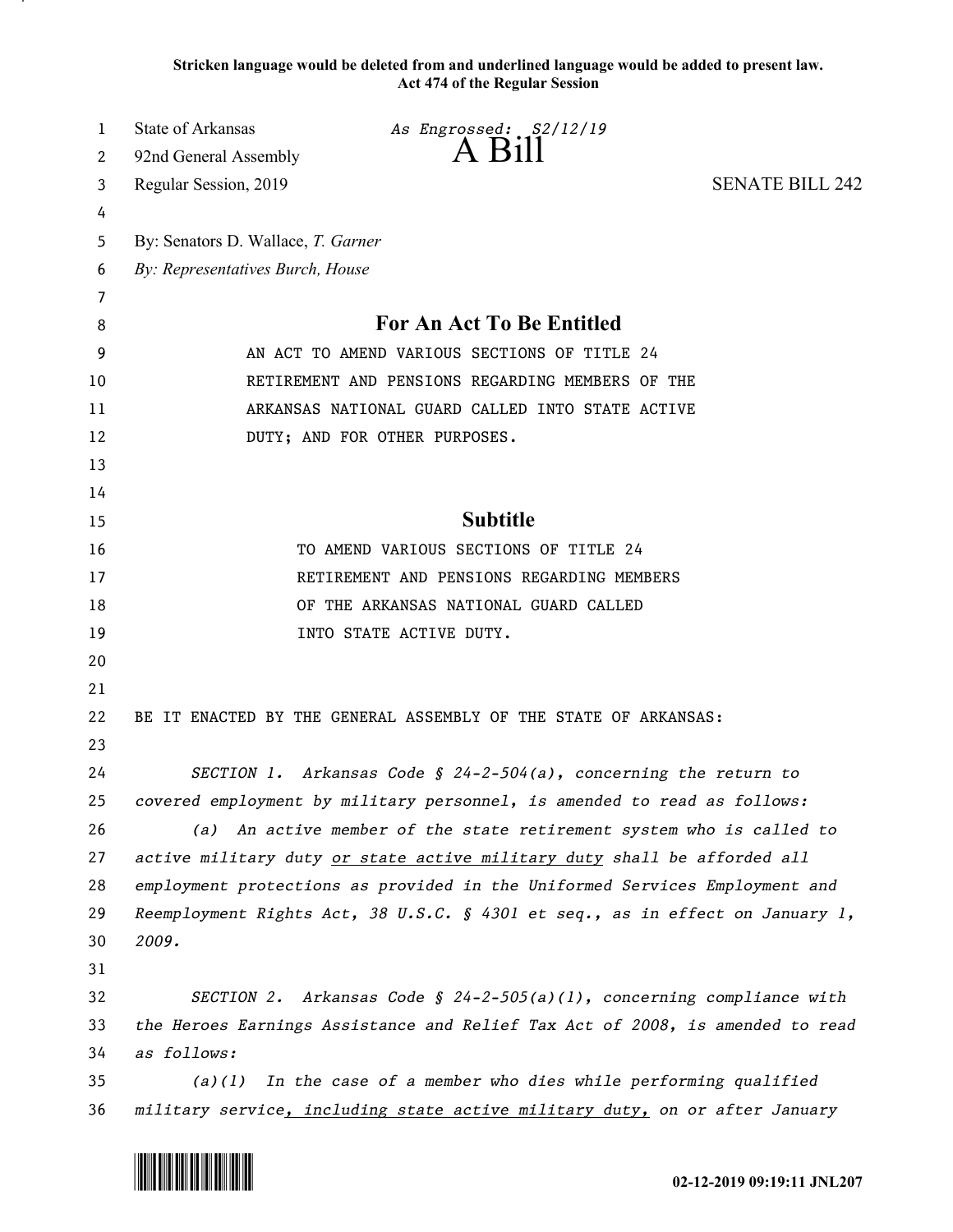**Stricken language would be deleted from and underlined language would be added to present law. Act 474 of the Regular Session**

| 1  | <b>State of Arkansas</b>                                                      | As Engrossed: S2/12/19                                                |                        |
|----|-------------------------------------------------------------------------------|-----------------------------------------------------------------------|------------------------|
| 2  | 92nd General Assembly                                                         | $A$ Bill                                                              |                        |
| 3  | Regular Session, 2019                                                         |                                                                       | <b>SENATE BILL 242</b> |
| 4  |                                                                               |                                                                       |                        |
| 5  | By: Senators D. Wallace, T. Garner                                            |                                                                       |                        |
| 6  | By: Representatives Burch, House                                              |                                                                       |                        |
| 7  |                                                                               |                                                                       |                        |
| 8  | For An Act To Be Entitled                                                     |                                                                       |                        |
| 9  | AN ACT TO AMEND VARIOUS SECTIONS OF TITLE 24                                  |                                                                       |                        |
| 10 | RETIREMENT AND PENSIONS REGARDING MEMBERS OF THE                              |                                                                       |                        |
| 11 | ARKANSAS NATIONAL GUARD CALLED INTO STATE ACTIVE                              |                                                                       |                        |
| 12 | DUTY; AND FOR OTHER PURPOSES.                                                 |                                                                       |                        |
| 13 |                                                                               |                                                                       |                        |
| 14 |                                                                               |                                                                       |                        |
| 15 |                                                                               | <b>Subtitle</b>                                                       |                        |
| 16 | TO AMEND VARIOUS SECTIONS OF TITLE 24                                         |                                                                       |                        |
| 17 | RETIREMENT AND PENSIONS REGARDING MEMBERS                                     |                                                                       |                        |
| 18 | OF THE ARKANSAS NATIONAL GUARD CALLED                                         |                                                                       |                        |
| 19 |                                                                               | INTO STATE ACTIVE DUTY.                                               |                        |
| 20 |                                                                               |                                                                       |                        |
| 21 |                                                                               |                                                                       |                        |
| 22 |                                                                               | BE IT ENACTED BY THE GENERAL ASSEMBLY OF THE STATE OF ARKANSAS:       |                        |
| 23 |                                                                               |                                                                       |                        |
| 24 | SECTION 1. Arkansas Code § 24-2-504(a), concerning the return to              |                                                                       |                        |
| 25 | covered employment by military personnel, is amended to read as follows:      |                                                                       |                        |
| 26 | (a) An active member of the state retirement system who is called to          |                                                                       |                        |
| 27 | active military duty or state active military duty shall be afforded all      |                                                                       |                        |
| 28 | employment protections as provided in the Uniformed Services Employment and   |                                                                       |                        |
| 29 | Reemployment Rights Act, 38 U.S.C. § 4301 et seq., as in effect on January 1, |                                                                       |                        |
| 30 | 2009.                                                                         |                                                                       |                        |
| 31 |                                                                               |                                                                       |                        |
| 32 |                                                                               | SECTION 2. Arkansas Code § 24-2-505(a)(l), concerning compliance with |                        |
| 33 | the Heroes Earnings Assistance and Relief Tax Act of 2008, is amended to read |                                                                       |                        |
| 34 | as follows:                                                                   |                                                                       |                        |
| 35 | In the case of a member who dies while performing qualified<br>(a)(1)         |                                                                       |                        |
| 36 | military service, including state active military duty, on or after January   |                                                                       |                        |

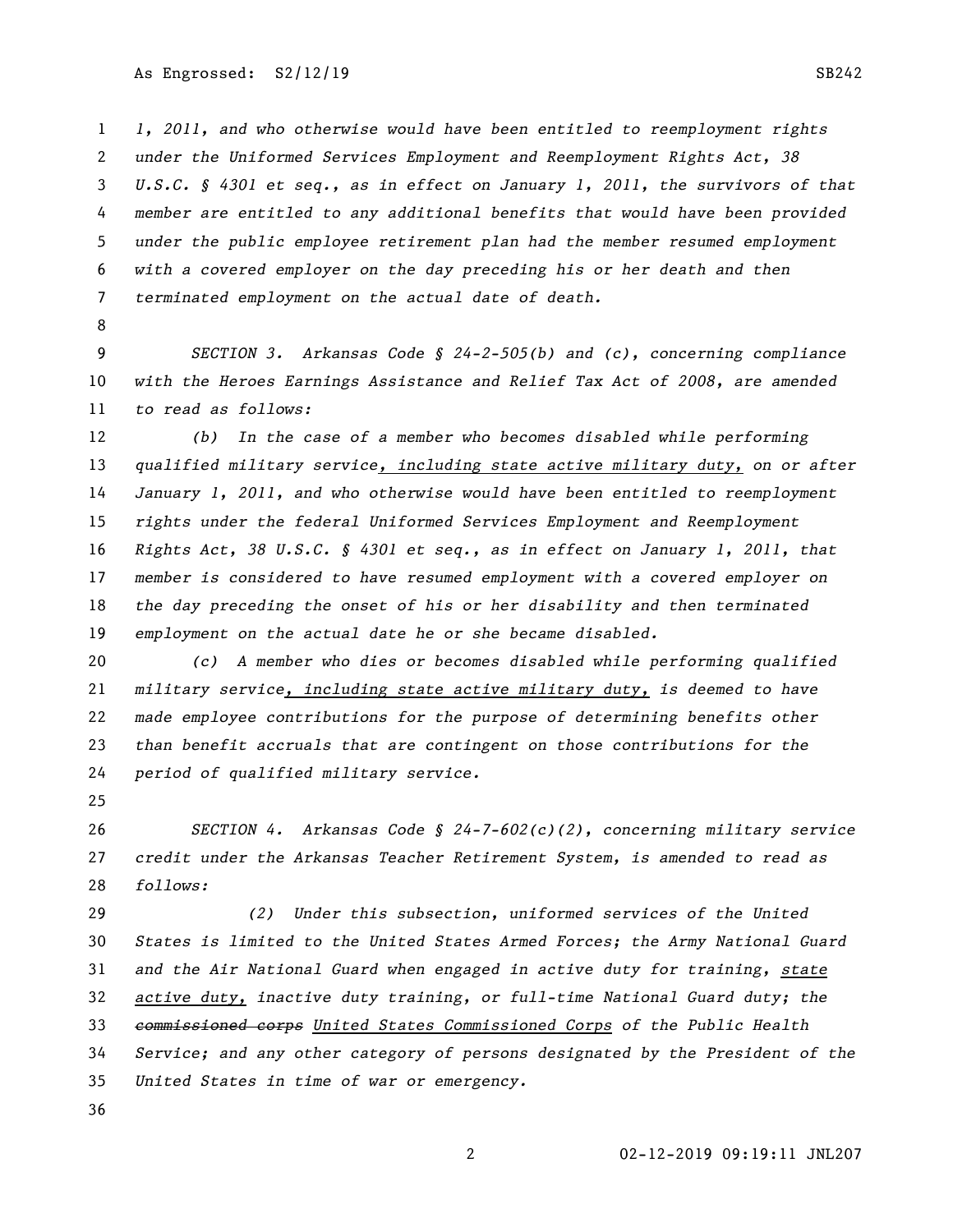*1, 2011, and who otherwise would have been entitled to reemployment rights under the Uniformed Services Employment and Reemployment Rights Act, 38 U.S.C. § 4301 et seq., as in effect on January 1, 2011, the survivors of that member are entitled to any additional benefits that would have been provided under the public employee retirement plan had the member resumed employment with a covered employer on the day preceding his or her death and then terminated employment on the actual date of death.*

 *SECTION 3. Arkansas Code § 24-2-505(b) and (c), concerning compliance with the Heroes Earnings Assistance and Relief Tax Act of 2008, are amended to read as follows:*

 *(b) In the case of a member who becomes disabled while performing qualified military service, including state active military duty, on or after January 1, 2011, and who otherwise would have been entitled to reemployment rights under the federal Uniformed Services Employment and Reemployment Rights Act, 38 U.S.C. § 4301 et seq., as in effect on January 1, 2011, that member is considered to have resumed employment with a covered employer on the day preceding the onset of his or her disability and then terminated employment on the actual date he or she became disabled.*

 *(c) A member who dies or becomes disabled while performing qualified military service, including state active military duty, is deemed to have made employee contributions for the purpose of determining benefits other than benefit accruals that are contingent on those contributions for the period of qualified military service.*

 *SECTION 4. Arkansas Code § 24-7-602(c)(2), concerning military service credit under the Arkansas Teacher Retirement System, is amended to read as follows:*

 *(2) Under this subsection, uniformed services of the United States is limited to the United States Armed Forces; the Army National Guard and the Air National Guard when engaged in active duty for training, state active duty, inactive duty training, or full-time National Guard duty; the commissioned corps United States Commissioned Corps of the Public Health Service; and any other category of persons designated by the President of the United States in time of war or emergency.*